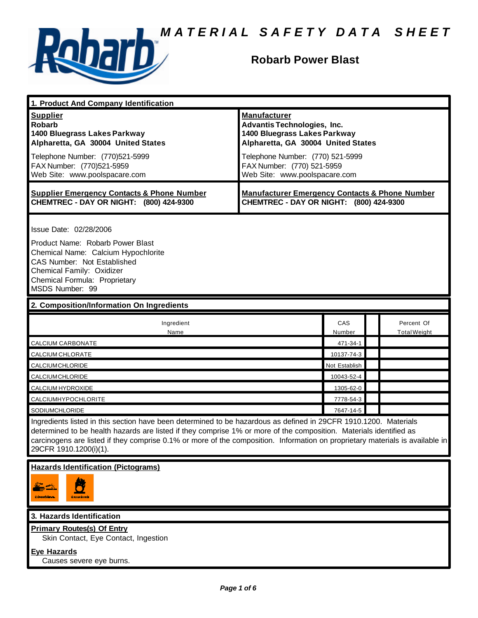

# **Robarb Power Blast**

| 1. Product And Company Identification                                                                                                                                                                                                                                                                                                                                                             |                                                                                                                                                                                                                                    |               |                                   |  |
|---------------------------------------------------------------------------------------------------------------------------------------------------------------------------------------------------------------------------------------------------------------------------------------------------------------------------------------------------------------------------------------------------|------------------------------------------------------------------------------------------------------------------------------------------------------------------------------------------------------------------------------------|---------------|-----------------------------------|--|
| <b>Supplier</b><br><b>Robarb</b><br>1400 Bluegrass Lakes Parkway<br>Alpharetta, GA 30004 United States<br>Telephone Number: (770)521-5999<br>FAX Number: (770)521-5959<br>Web Site: www.poolspacare.com                                                                                                                                                                                           | <b>Manufacturer</b><br><b>Advantis Technologies, Inc.</b><br>1400 Bluegrass Lakes Parkway<br>Alpharetta, GA 30004 United States<br>Telephone Number: (770) 521-5999<br>FAX Number: (770) 521-5959<br>Web Site: www.poolspacare.com |               |                                   |  |
| <b>Supplier Emergency Contacts &amp; Phone Number</b><br>CHEMTREC - DAY OR NIGHT: (800) 424-9300                                                                                                                                                                                                                                                                                                  | <b>Manufacturer Emergency Contacts &amp; Phone Number</b><br>CHEMTREC - DAY OR NIGHT: (800) 424-9300                                                                                                                               |               |                                   |  |
| Issue Date: 02/28/2006<br>Product Name: Robarb Power Blast<br>Chemical Name: Calcium Hypochlorite<br>CAS Number: Not Established<br>Chemical Family: Oxidizer<br>Chemical Formula: Proprietary<br>MSDS Number: 99                                                                                                                                                                                 |                                                                                                                                                                                                                                    |               |                                   |  |
| 2. Composition/Information On Ingredients                                                                                                                                                                                                                                                                                                                                                         |                                                                                                                                                                                                                                    |               |                                   |  |
| Ingredient<br>Name                                                                                                                                                                                                                                                                                                                                                                                |                                                                                                                                                                                                                                    | CAS<br>Number | Percent Of<br><b>Total Weight</b> |  |
| CALCIUM CARBONATE                                                                                                                                                                                                                                                                                                                                                                                 |                                                                                                                                                                                                                                    | 471-34-1      |                                   |  |
| CALCIUM CHLORATE                                                                                                                                                                                                                                                                                                                                                                                  |                                                                                                                                                                                                                                    | 10137-74-3    |                                   |  |
| CALCIUMCHLORIDE                                                                                                                                                                                                                                                                                                                                                                                   |                                                                                                                                                                                                                                    | Not Establish |                                   |  |
| CALCIUMCHLORIDE                                                                                                                                                                                                                                                                                                                                                                                   |                                                                                                                                                                                                                                    | 10043-52-4    |                                   |  |
| CALCIUM HYDROXIDE                                                                                                                                                                                                                                                                                                                                                                                 |                                                                                                                                                                                                                                    | 1305-62-0     |                                   |  |
| CALCIUMHYPOCHLORITE                                                                                                                                                                                                                                                                                                                                                                               |                                                                                                                                                                                                                                    | 7778-54-3     |                                   |  |
| <b>SODIUMCHLORIDE</b>                                                                                                                                                                                                                                                                                                                                                                             |                                                                                                                                                                                                                                    | 7647-14-5     |                                   |  |
| Ingredients listed in this section have been determined to be hazardous as defined in 29CFR 1910.1200. Materials<br>determined to be health hazards are listed if they comprise 1% or more of the composition. Materials identified as<br>carcinogens are listed if they comprise 0.1% or more of the composition. Information on proprietary materials is available in<br>29CFR 1910.1200(i)(1). |                                                                                                                                                                                                                                    |               |                                   |  |
| <b>Hazards Identification (Pictograms)</b><br><u>CONDICIENTE</u>                                                                                                                                                                                                                                                                                                                                  |                                                                                                                                                                                                                                    |               |                                   |  |
| 3. Hazards Identification                                                                                                                                                                                                                                                                                                                                                                         |                                                                                                                                                                                                                                    |               |                                   |  |
| <b>Primary Routes(s) Of Entry</b><br>Skin Contact, Eye Contact, Ingestion<br><b>Eye Hazards</b><br>Causes severe eye burns.                                                                                                                                                                                                                                                                       |                                                                                                                                                                                                                                    |               |                                   |  |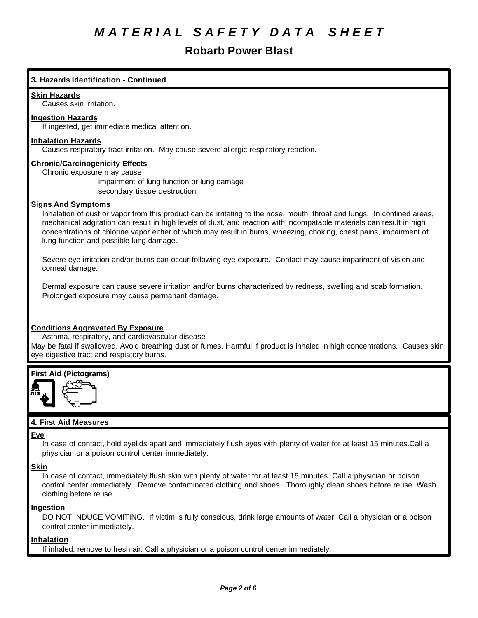# **Robarb Power Blast**

# **3. Hazards Identification - Continued**

## **Skin Hazards**

Causes skin irritation.

# **Ingestion Hazards**

If ingested, get immediate medical attention.

## **Inhalation Hazards**

Causes respiratory tract irritation. May cause severe allergic respiratory reaction.

## **Chronic/Carcinogenicity Effects**

Chronic exposure may cause

impairment of lung function or lung damage secondary tissue destruction

## **Signs And Symptoms**

Inhalation of dust or vapor from this product can be irritating to the nose, mouth, throat and lungs. In confined areas, mechanical adgitation can result in high levels of dust, and reaction with incompatable materials can result in high concentrations of chlorine vapor either of which may result in burns, wheezing, choking, chest pains, impairment of lung function and possible lung damage.

Severe eye irritation and/or burns can occur following eye exposure. Contact may cause impariment of vision and corneal damage.

Dermal exposure can cause severe irritation and/or burns characterized by redness, swelling and scab formation. Prolonged exposure may cause permanant damage.

# **Conditions Aggravated By Exposure**

Asthma, respiratory, and cardiovascular disease May be fatal if swallowed. Avoid breathing dust or fumes. Harmful if product is inhaled in high concentrations. Causes skin, eye digestive tract and respiatory burns.

# **First Aid (Pictograms)**



# **4. First Aid Measures**

# **Eye**

In case of contact, hold eyelids apart and immediately flush eyes with plenty of water for at least 15 minutes.Call a physician or a poison control center immediately.

### **Skin**

In case of contact, immediately flush skin with plenty of water for at least 15 minutes. Call a physician or poison control center immediately. Remove contaminated clothing and shoes. Thoroughly clean shoes before reuse. Wash clothing before reuse.

# **Ingestion**

DO NOT INDUCE VOMITING. If victim is fully conscious, drink large amounts of water. Call a physician or a poison control center immediately.

# **Inhalation**

If inhaled, remove to fresh air. Call a physician or a poison control center immediately.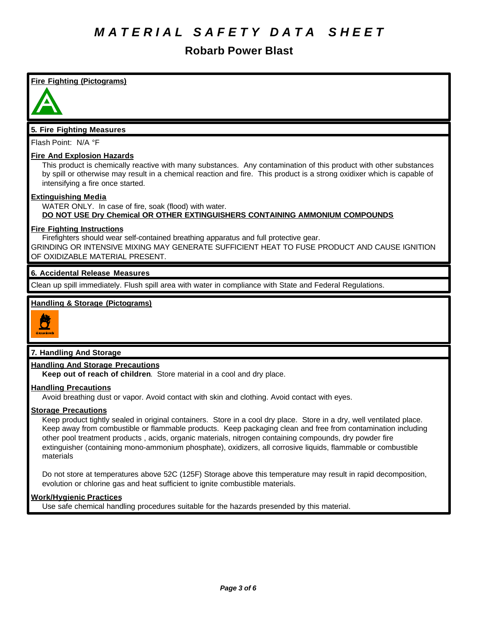# **Robarb Power Blast**

# **Fire Fighting (Pictograms) 5. Fire Fighting Measures** Flash Point: N/A °F **Fire And Explosion Hazards** This product is chemically reactive with many substances. Any contamination of this product with other substances by spill or otherwise may result in a chemical reaction and fire. This product is a strong oxidixer which is capable of intensifying a fire once started. **Extinguishing Media** WATER ONLY. In case of fire, soak (flood) with water. **DO NOT USE Dry Chemical OR OTHER EXTINGUISHERS CONTAINING AMMONIUM COMPOUNDS Fire Fighting Instructions** Firefighters should wear self-contained breathing apparatus and full protective gear. GRINDING OR INTENSIVE MIXING MAY GENERATE SUFFICIENT HEAT TO FUSE PRODUCT AND CAUSE IGNITION OF OXIDIZABLE MATERIAL PRESENT. **6. Accidental Release Measures** Clean up spill immediately. Flush spill area with water in compliance with State and Federal Regulations. **Handling & Storage (Pictograms) 7. Handling And Storage Handling And Storage Precautions**

**Keep out of reach of children**. Store material in a cool and dry place.

# **Handling Precautions**

Avoid breathing dust or vapor. Avoid contact with skin and clothing. Avoid contact with eyes.

## **Storage Precautions**

Keep product tightly sealed in original containers. Store in a cool dry place. Store in a dry, well ventilated place. Keep away from combustible or flammable products. Keep packaging clean and free from contamination including other pool treatment products , acids, organic materials, nitrogen containing compounds, dry powder fire extinguisher (containing mono-ammonium phosphate), oxidizers, all corrosive liquids, flammable or combustible materials

Do not store at temperatures above 52C (125F) Storage above this temperature may result in rapid decomposition, evolution or chlorine gas and heat sufficient to ignite combustible materials.

# **Work/Hygienic Practices**

Use safe chemical handling procedures suitable for the hazards presended by this material.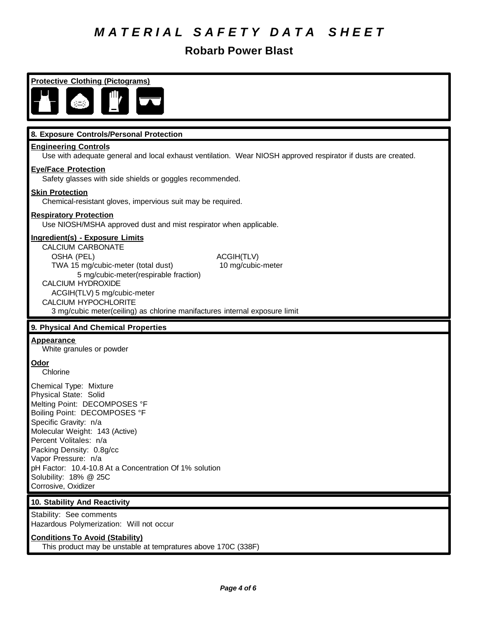# **Robarb Power Blast**

**Protective Clothing (Pictograms)**

# **8. Exposure Controls/Personal Protection**

#### **Engineering Controls**

Use with adequate general and local exhaust ventilation. Wear NIOSH approved respirator if dusts are created.

### **Eye/Face Protection**

Safety glasses with side shields or goggles recommended.

### **Skin Protection**

Chemical-resistant gloves, impervious suit may be required.

#### **Respiratory Protection**

Use NIOSH/MSHA approved dust and mist respirator when applicable.

# **Ingredient(s) - Exposure Limits**

CALCIUM CARBONATE OSHA (PEL) ACGIH(TLV) TWA 15 mg/cubic-meter (total dust) 10 mg/cubic-meter 5 mg/cubic-meter(respirable fraction) CALCIUM HYDROXIDE ACGIH(TLV) 5 mg/cubic-meter CALCIUM HYPOCHLORITE

3 mg/cubic meter(ceiling) as chlorine manifactures internal exposure limit

### **9. Physical And Chemical Properties**

# **Appearance**

White granules or powder

### **Odor**

Chlorine

Chemical Type: Mixture Physical State: Solid Melting Point: DECOMPOSES °F Boiling Point: DECOMPOSES °F Specific Gravity: n/a Molecular Weight: 143 (Active) Percent Volitales: n/a Packing Density: 0.8g/cc Vapor Pressure: n/a pH Factor: 10.4-10.8 At a Concentration Of 1% solution Solubility: 18% @ 25C Corrosive, Oxidizer

# **10. Stability And Reactivity**

Stability: See comments Hazardous Polymerization: Will not occur

### **Conditions To Avoid (Stability)**

This product may be unstable at tempratures above 170C (338F)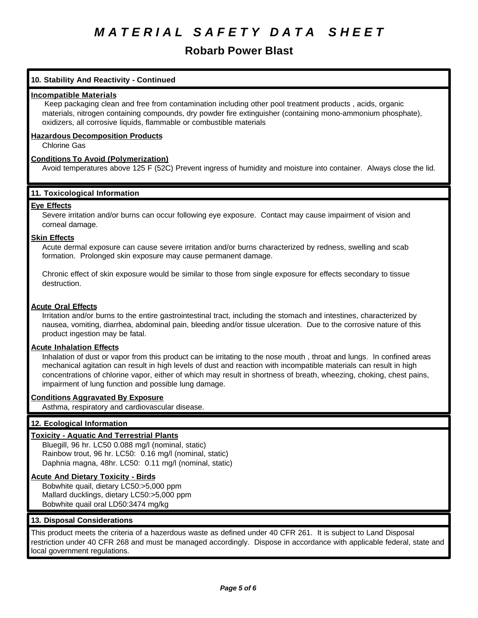# **Robarb Power Blast**

# **10. Stability And Reactivity - Continued**

### **Incompatible Materials**

 Keep packaging clean and free from contamination including other pool treatment products , acids, organic materials, nitrogen containing compounds, dry powder fire extinguisher (containing mono-ammonium phosphate), oxidizers, all corrosive liquids, flammable or combustible materials

## **Hazardous Decomposition Products**

Chlorine Gas

# **Conditions To Avoid (Polymerization)**

Avoid temperatures above 125 F (52C) Prevent ingress of humidity and moisture into container. Always close the lid.

# **11. Toxicological Information**

# **Eye Effects**

Severe irritation and/or burns can occur following eye exposure. Contact may cause impairment of vision and corneal damage.

## **Skin Effects**

Acute dermal exposure can cause severe irritation and/or burns characterized by redness, swelling and scab formation. Prolonged skin exposure may cause permanent damage.

Chronic effect of skin exposure would be similar to those from single exposure for effects secondary to tissue destruction.

# **Acute Oral Effects**

Irritation and/or burns to the entire gastrointestinal tract, including the stomach and intestines, characterized by nausea, vomiting, diarrhea, abdominal pain, bleeding and/or tissue ulceration. Due to the corrosive nature of this product ingestion may be fatal.

### **Acute Inhalation Effects**

Inhalation of dust or vapor from this product can be irritating to the nose mouth , throat and lungs. In confined areas mechanical agitation can result in high levels of dust and reaction with incompatible materials can result in high concentrations of chlorine vapor, either of which may result in shortness of breath, wheezing, choking, chest pains, impairment of lung function and possible lung damage.

### **Conditions Aggravated By Exposure**

Asthma, respiratory and cardiovascular disease.

# **12. Ecological Information**

### **Toxicity - Aquatic And Terrestrial Plants**

Bluegill, 96 hr. LC50 0.088 mg/l (nominal, static) Rainbow trout, 96 hr. LC50: 0.16 mg/l (nominal, static) Daphnia magna, 48hr. LC50: 0.11 mg/l (nominal, static)

### **Acute And Dietary Toxicity - Birds**

Bobwhite quail, dietary LC50:>5,000 ppm Mallard ducklings, dietary LC50:>5,000 ppm Bobwhite quail oral LD50:3474 mg/kg

# **13. Disposal Considerations**

This product meets the criteria of a hazerdous waste as defined under 40 CFR 261. It is subject to Land Disposal restriction under 40 CFR 268 and must be managed accordingly. Dispose in accordance with applicable federal, state and local government regulations.